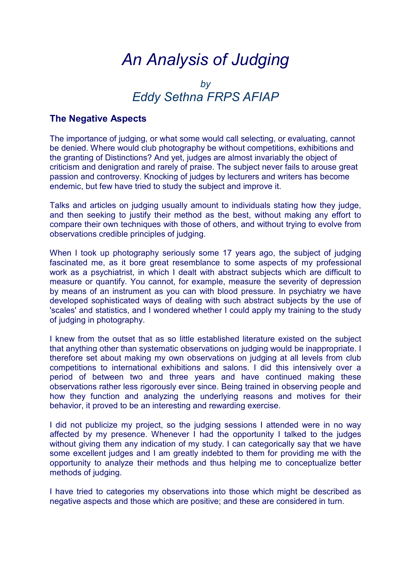# *An Analysis of Judging*

# *by Eddy Sethna FRPS AFIAP*

# **The Negative Aspects**

The importance of judging, or what some would call selecting, or evaluating, cannot be denied. Where would club photography be without competitions, exhibitions and the granting of Distinctions? And yet, judges are almost invariably the object of criticism and denigration and rarely of praise. The subject never fails to arouse great passion and controversy. Knocking of judges by lecturers and writers has become endemic, but few have tried to study the subject and improve it.

Talks and articles on judging usually amount to individuals stating how they judge, and then seeking to justify their method as the best, without making any effort to compare their own techniques with those of others, and without trying to evolve from observations credible principles of judging.

When I took up photography seriously some 17 years ago, the subject of judging fascinated me, as it bore great resemblance to some aspects of my professional work as a psychiatrist, in which I dealt with abstract subjects which are difficult to measure or quantify. You cannot, for example, measure the severity of depression by means of an instrument as you can with blood pressure. In psychiatry we have developed sophisticated ways of dealing with such abstract subjects by the use of 'scales' and statistics, and I wondered whether I could apply my training to the study of judging in photography.

I knew from the outset that as so little established literature existed on the subject that anything other than systematic observations on judging would be inappropriate. I therefore set about making my own observations on judging at all levels from club competitions to international exhibitions and salons. I did this intensively over a period of between two and three years and have continued making these observations rather less rigorously ever since. Being trained in observing people and how they function and analyzing the underlying reasons and motives for their behavior, it proved to be an interesting and rewarding exercise.

I did not publicize my project, so the judging sessions I attended were in no way affected by my presence. Whenever I had the opportunity I talked to the judges without giving them any indication of my study. I can categorically say that we have some excellent judges and I am greatly indebted to them for providing me with the opportunity to analyze their methods and thus helping me to conceptualize better methods of judging.

I have tried to categories my observations into those which might be described as negative aspects and those which are positive; and these are considered in turn.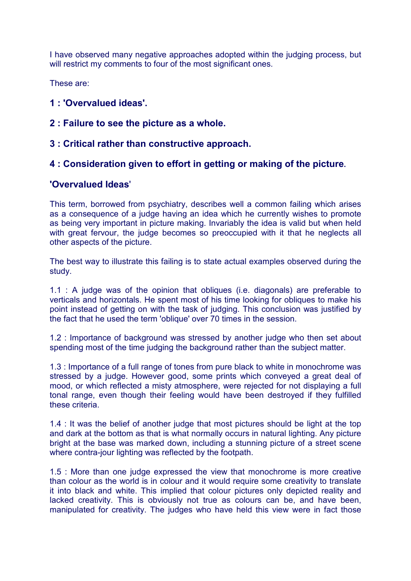I have observed many negative approaches adopted within the judging process, but will restrict my comments to four of the most significant ones.

These are:

- **1 : 'Overvalued ideas'.**
- **2 : Failure to see the picture as a whole.**
- **3 : Critical rather than constructive approach.**

# **4 : Consideration given to effort in getting or making of the picture.**

# **'Overvalued Ideas**'

This term, borrowed from psychiatry, describes well a common failing which arises as a consequence of a judge having an idea which he currently wishes to promote as being very important in picture making. Invariably the idea is valid but when held with great fervour, the judge becomes so preoccupied with it that he neglects all other aspects of the picture.

The best way to illustrate this failing is to state actual examples observed during the study.

1.1 : A judge was of the opinion that obliques (i.e. diagonals) are preferable to verticals and horizontals. He spent most of his time looking for obliques to make his point instead of getting on with the task of judging. This conclusion was justified by the fact that he used the term 'oblique' over 70 times in the session.

1.2 : Importance of background was stressed by another judge who then set about spending most of the time judging the background rather than the subject matter.

1.3 : Importance of a full range of tones from pure black to white in monochrome was stressed by a judge. However good, some prints which conveyed a great deal of mood, or which reflected a misty atmosphere, were rejected for not displaying a full tonal range, even though their feeling would have been destroyed if they fulfilled these criteria.

1.4 : It was the belief of another judge that most pictures should be light at the top and dark at the bottom as that is what normally occurs in natural lighting. Any picture bright at the base was marked down, including a stunning picture of a street scene where contra-jour lighting was reflected by the footpath.

1.5 : More than one judge expressed the view that monochrome is more creative than colour as the world is in colour and it would require some creativity to translate it into black and white. This implied that colour pictures only depicted reality and lacked creativity. This is obviously not true as colours can be, and have been, manipulated for creativity. The judges who have held this view were in fact those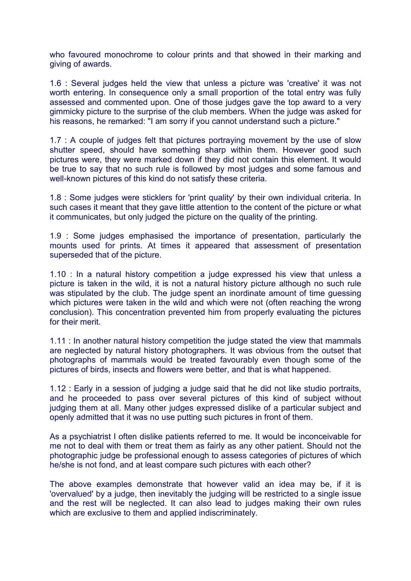who favoured monochrome to colour prints and that showed in their marking and giving of awards.

1.6 : Several judges held the view that unless a picture was 'creative' it was not worth entering. In consequence only a small proportion of the total entry was fully assessed and commented upon. One of those judges gave the top award to a very gimmicky picture to the surprise of the club members. When the judge was asked for his reasons, he remarked: "I am sorry if you cannot understand such a picture."

1.7 : A couple of judges felt that pictures portraying movement by the use of slow shutter speed, should have something sharp within them. However good such pictures were, they were marked down if they did not contain this element. It would be true to say that no such rule is followed by most judges and some famous and well-known pictures of this kind do not satisfy these criteria.

1.8 : Some judges were sticklers for 'print quality' by their own individual criteria. In such cases it meant that they gave little attention to the content of the picture or what it communicates, but only judged the picture on the quality of the printing.

1.9 : Some judges emphasised the importance of presentation, particularly the mounts used for prints. At times it appeared that assessment of presentation superseded that of the picture.

1.10 : In a natural history competition a judge expressed his view that unless a picture is taken in the wild, it is not a natural history picture although no such rule was stipulated by the club. The judge spent an inordinate amount of time guessing which pictures were taken in the wild and which were not (often reaching the wrong conclusion). This concentration prevented him from properly evaluating the pictures for their merit.

1.11 : In another natural history competition the judge stated the view that mammals are neglected by natural history photographers. It was obvious from the outset that photographs of mammals would be treated favourably even though some of the pictures of birds, insects and flowers were better, and that is what happened.

1.12 : Early in a session of judging a judge said that he did not like studio portraits, and he proceeded to pass over several pictures of this kind of subject without judging them at all. Many other judges expressed dislike of a particular subject and openly admitted that it was no use putting such pictures in front of them.

As a psychiatrist I often dislike patients referred to me. It would be inconceivable for me not to deal with them or treat them as fairly as any other patient. Should not the photographic judge be professional enough to assess categories of pictures of which he/she is not fond, and at least compare such pictures with each other?

The above examples demonstrate that however valid an idea may be, if it is 'overvalued' by a judge, then inevitably the judging will be restricted to a single issue and the rest will be neglected. It can also lead to judges making their own rules which are exclusive to them and applied indiscriminately.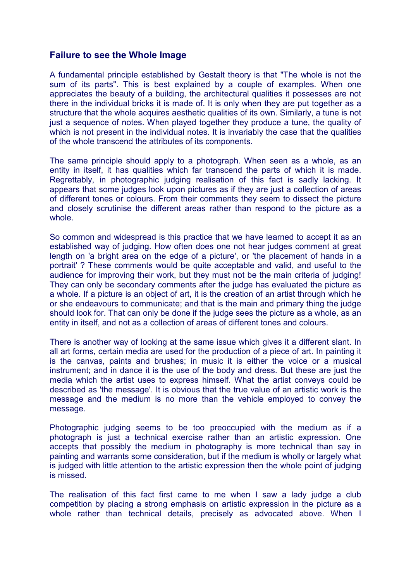# **Failure to see the Whole Image**

A fundamental principle established by Gestalt theory is that "The whole is not the sum of its parts". This is best explained by a couple of examples. When one appreciates the beauty of a building, the architectural qualities it possesses are not there in the individual bricks it is made of. It is only when they are put together as a structure that the whole acquires aesthetic qualities of its own. Similarly, a tune is not just a sequence of notes. When played together they produce a tune, the quality of which is not present in the individual notes. It is invariably the case that the qualities of the whole transcend the attributes of its components.

The same principle should apply to a photograph. When seen as a whole, as an entity in itself, it has qualities which far transcend the parts of which it is made. Regrettably, in photographic judging realisation of this fact is sadly lacking. It appears that some judges look upon pictures as if they are just a collection of areas of different tones or colours. From their comments they seem to dissect the picture and closely scrutinise the different areas rather than respond to the picture as a whole.

So common and widespread is this practice that we have learned to accept it as an established way of judging. How often does one not hear judges comment at great length on 'a bright area on the edge of a picture', or 'the placement of hands in a portrait' ? These comments would be quite acceptable and valid, and useful to the audience for improving their work, but they must not be the main criteria of judging! They can only be secondary comments after the judge has evaluated the picture as a whole. If a picture is an object of art, it is the creation of an artist through which he or she endeavours to communicate; and that is the main and primary thing the judge should look for. That can only be done if the judge sees the picture as a whole, as an entity in itself, and not as a collection of areas of different tones and colours.

There is another way of looking at the same issue which gives it a different slant. In all art forms, certain media are used for the production of a piece of art. In painting it is the canvas, paints and brushes; in music it is either the voice or a musical instrument; and in dance it is the use of the body and dress. But these are just the media which the artist uses to express himself. What the artist conveys could be described as 'the message'. It is obvious that the true value of an artistic work is the message and the medium is no more than the vehicle employed to convey the message.

Photographic judging seems to be too preoccupied with the medium as if a photograph is just a technical exercise rather than an artistic expression. One accepts that possibly the medium in photography is more technical than say in painting and warrants some consideration, but if the medium is wholly or largely what is judged with little attention to the artistic expression then the whole point of judging is missed.

The realisation of this fact first came to me when I saw a lady judge a club competition by placing a strong emphasis on artistic expression in the picture as a whole rather than technical details, precisely as advocated above. When I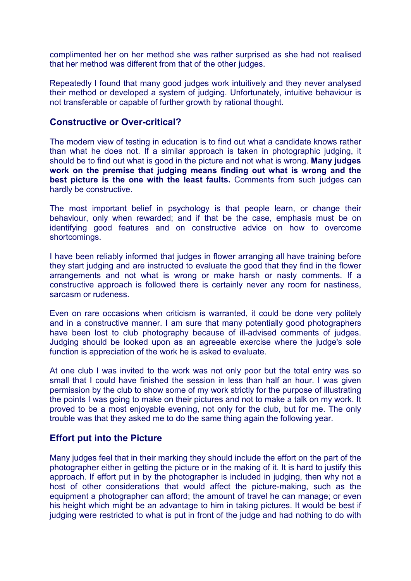complimented her on her method she was rather surprised as she had not realised that her method was different from that of the other judges.

Repeatedly I found that many good judges work intuitively and they never analysed their method or developed a system of judging. Unfortunately, intuitive behaviour is not transferable or capable of further growth by rational thought.

#### **Constructive or Over-critical?**

The modern view of testing in education is to find out what a candidate knows rather than what he does not. If a similar approach is taken in photographic judging, it should be to find out what is good in the picture and not what is wrong. **Many judges work on the premise that judging means finding out what is wrong and the best picture is the one with the least faults.** Comments from such judges can hardly be constructive.

The most important belief in psychology is that people learn, or change their behaviour, only when rewarded; and if that be the case, emphasis must be on identifying good features and on constructive advice on how to overcome shortcomings.

I have been reliably informed that judges in flower arranging all have training before they start judging and are instructed to evaluate the good that they find in the flower arrangements and not what is wrong or make harsh or nasty comments. If a constructive approach is followed there is certainly never any room for nastiness, sarcasm or rudeness.

Even on rare occasions when criticism is warranted, it could be done very politely and in a constructive manner. I am sure that many potentially good photographers have been lost to club photography because of ill-advised comments of judges. Judging should be looked upon as an agreeable exercise where the judge's sole function is appreciation of the work he is asked to evaluate.

At one club I was invited to the work was not only poor but the total entry was so small that I could have finished the session in less than half an hour. I was given permission by the club to show some of my work strictly for the purpose of illustrating the points I was going to make on their pictures and not to make a talk on my work. It proved to be a most enjoyable evening, not only for the club, but for me. The only trouble was that they asked me to do the same thing again the following year.

#### **Effort put into the Picture**

Many judges feel that in their marking they should include the effort on the part of the photographer either in getting the picture or in the making of it. It is hard to justify this approach. If effort put in by the photographer is included in judging, then why not a host of other considerations that would affect the picture-making, such as the equipment a photographer can afford; the amount of travel he can manage; or even his height which might be an advantage to him in taking pictures. It would be best if judging were restricted to what is put in front of the judge and had nothing to do with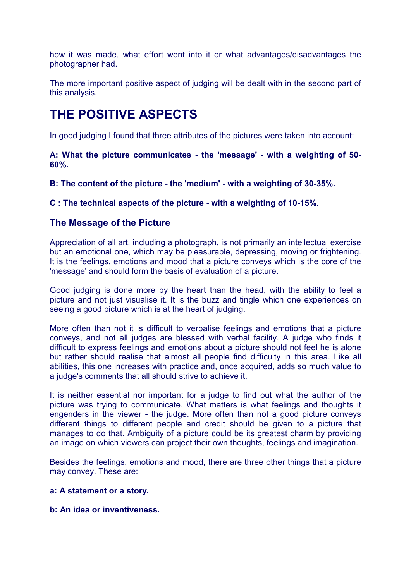how it was made, what effort went into it or what advantages/disadvantages the photographer had.

The more important positive aspect of judging will be dealt with in the second part of this analysis.

# **THE POSITIVE ASPECTS**

In good judging I found that three attributes of the pictures were taken into account:

**A: What the picture communicates - the 'message' - with a weighting of 50- 60%.** 

**B: The content of the picture - the 'medium' - with a weighting of 30-35%.** 

**C : The technical aspects of the picture - with a weighting of 10-15%.** 

### **The Message of the Picture**

Appreciation of all art, including a photograph, is not primarily an intellectual exercise but an emotional one, which may be pleasurable, depressing, moving or frightening. It is the feelings, emotions and mood that a picture conveys which is the core of the 'message' and should form the basis of evaluation of a picture.

Good judging is done more by the heart than the head, with the ability to feel a picture and not just visualise it. It is the buzz and tingle which one experiences on seeing a good picture which is at the heart of judging.

More often than not it is difficult to verbalise feelings and emotions that a picture conveys, and not all judges are blessed with verbal facility. A judge who finds it difficult to express feelings and emotions about a picture should not feel he is alone but rather should realise that almost all people find difficulty in this area. Like all abilities, this one increases with practice and, once acquired, adds so much value to a judge's comments that all should strive to achieve it.

It is neither essential nor important for a judge to find out what the author of the picture was trying to communicate. What matters is what feelings and thoughts it engenders in the viewer - the judge. More often than not a good picture conveys different things to different people and credit should be given to a picture that manages to do that. Ambiguity of a picture could be its greatest charm by providing an image on which viewers can project their own thoughts, feelings and imagination.

Besides the feelings, emotions and mood, there are three other things that a picture may convey. These are:

#### **a: A statement or a story.**

#### **b: An idea or inventiveness.**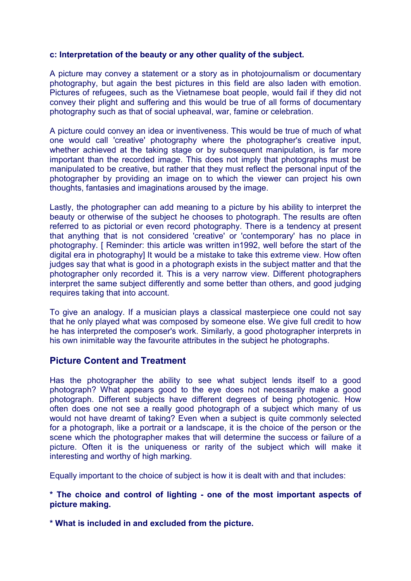#### **c: Interpretation of the beauty or any other quality of the subject.**

A picture may convey a statement or a story as in photojournalism or documentary photography, but again the best pictures in this field are also laden with emotion. Pictures of refugees, such as the Vietnamese boat people, would fail if they did not convey their plight and suffering and this would be true of all forms of documentary photography such as that of social upheaval, war, famine or celebration.

A picture could convey an idea or inventiveness. This would be true of much of what one would call 'creative' photography where the photographer's creative input, whether achieved at the taking stage or by subsequent manipulation, is far more important than the recorded image. This does not imply that photographs must be manipulated to be creative, but rather that they must reflect the personal input of the photographer by providing an image on to which the viewer can project his own thoughts, fantasies and imaginations aroused by the image.

Lastly, the photographer can add meaning to a picture by his ability to interpret the beauty or otherwise of the subject he chooses to photograph. The results are often referred to as pictorial or even record photography. There is a tendency at present that anything that is not considered 'creative' or 'contemporary' has no place in photography. [ Reminder: this article was written in1992, well before the start of the digital era in photography] It would be a mistake to take this extreme view. How often judges say that what is good in a photograph exists in the subject matter and that the photographer only recorded it. This is a very narrow view. Different photographers interpret the same subject differently and some better than others, and good judging requires taking that into account.

To give an analogy. If a musician plays a classical masterpiece one could not say that he only played what was composed by someone else. We give full credit to how he has interpreted the composer's work. Similarly, a good photographer interprets in his own inimitable way the favourite attributes in the subject he photographs.

# **Picture Content and Treatment**

Has the photographer the ability to see what subject lends itself to a good photograph? What appears good to the eye does not necessarily make a good photograph. Different subjects have different degrees of being photogenic. How often does one not see a really good photograph of a subject which many of us would not have dreamt of taking? Even when a subject is quite commonly selected for a photograph, like a portrait or a landscape, it is the choice of the person or the scene which the photographer makes that will determine the success or failure of a picture. Often it is the uniqueness or rarity of the subject which will make it interesting and worthy of high marking.

Equally important to the choice of subject is how it is dealt with and that includes:

#### **\* The choice and control of lighting - one of the most important aspects of picture making.**

**\* What is included in and excluded from the picture.**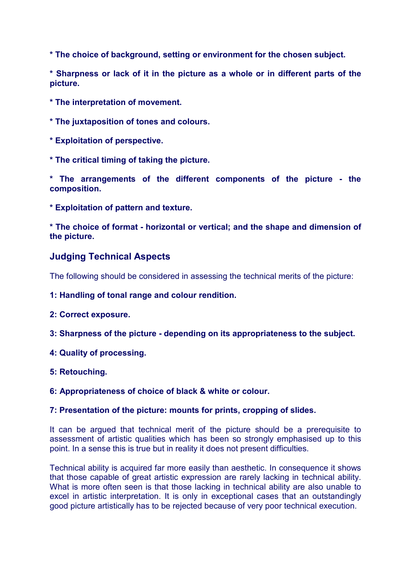**\* The choice of background, setting or environment for the chosen subject.** 

**\* Sharpness or lack of it in the picture as a whole or in different parts of the picture.** 

**\* The interpretation of movement.** 

**\* The juxtaposition of tones and colours.** 

**\* Exploitation of perspective.** 

**\* The critical timing of taking the picture.** 

**\* The arrangements of the different components of the picture - the composition.** 

**\* Exploitation of pattern and texture.** 

**\* The choice of format - horizontal or vertical; and the shape and dimension of the picture.** 

# **Judging Technical Aspects**

The following should be considered in assessing the technical merits of the picture:

**1: Handling of tonal range and colour rendition.** 

**2: Correct exposure.** 

**3: Sharpness of the picture - depending on its appropriateness to the subject.** 

**4: Quality of processing.** 

**5: Retouching.** 

**6: Appropriateness of choice of black & white or colour.** 

#### **7: Presentation of the picture: mounts for prints, cropping of slides.**

It can be argued that technical merit of the picture should be a prerequisite to assessment of artistic qualities which has been so strongly emphasised up to this point. In a sense this is true but in reality it does not present difficulties.

Technical ability is acquired far more easily than aesthetic. In consequence it shows that those capable of great artistic expression are rarely lacking in technical ability. What is more often seen is that those lacking in technical ability are also unable to excel in artistic interpretation. It is only in exceptional cases that an outstandingly good picture artistically has to be rejected because of very poor technical execution.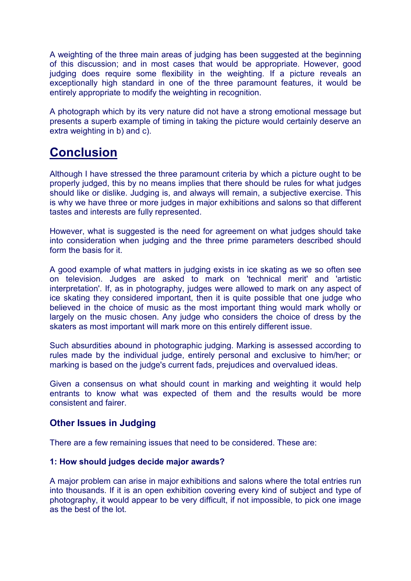A weighting of the three main areas of judging has been suggested at the beginning of this discussion; and in most cases that would be appropriate. However, good judging does require some flexibility in the weighting. If a picture reveals an exceptionally high standard in one of the three paramount features, it would be entirely appropriate to modify the weighting in recognition.

A photograph which by its very nature did not have a strong emotional message but presents a superb example of timing in taking the picture would certainly deserve an extra weighting in b) and c).

# **Conclusion**

Although I have stressed the three paramount criteria by which a picture ought to be properly judged, this by no means implies that there should be rules for what judges should like or dislike. Judging is, and always will remain, a subjective exercise. This is why we have three or more judges in major exhibitions and salons so that different tastes and interests are fully represented.

However, what is suggested is the need for agreement on what judges should take into consideration when judging and the three prime parameters described should form the basis for it.

A good example of what matters in judging exists in ice skating as we so often see on television. Judges are asked to mark on 'technical merit' and 'artistic interpretation'. If, as in photography, judges were allowed to mark on any aspect of ice skating they considered important, then it is quite possible that one judge who believed in the choice of music as the most important thing would mark wholly or largely on the music chosen. Any judge who considers the choice of dress by the skaters as most important will mark more on this entirely different issue.

Such absurdities abound in photographic judging. Marking is assessed according to rules made by the individual judge, entirely personal and exclusive to him/her; or marking is based on the judge's current fads, prejudices and overvalued ideas.

Given a consensus on what should count in marking and weighting it would help entrants to know what was expected of them and the results would be more consistent and fairer.

# **Other Issues in Judging**

There are a few remaining issues that need to be considered. These are:

#### **1: How should judges decide major awards?**

A major problem can arise in major exhibitions and salons where the total entries run into thousands. If it is an open exhibition covering every kind of subject and type of photography, it would appear to be very difficult, if not impossible, to pick one image as the best of the lot.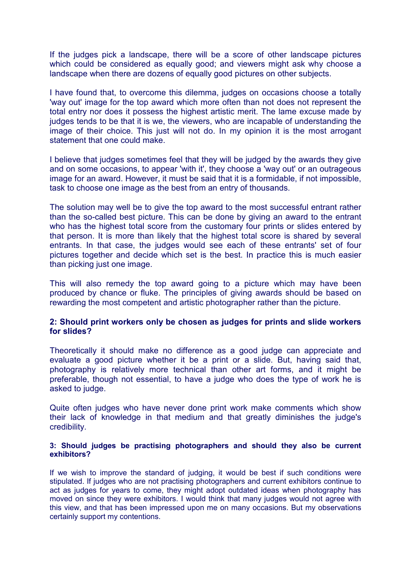If the judges pick a landscape, there will be a score of other landscape pictures which could be considered as equally good; and viewers might ask why choose a landscape when there are dozens of equally good pictures on other subjects.

I have found that, to overcome this dilemma, judges on occasions choose a totally 'way out' image for the top award which more often than not does not represent the total entry nor does it possess the highest artistic merit. The lame excuse made by judges tends to be that it is we, the viewers, who are incapable of understanding the image of their choice. This just will not do. In my opinion it is the most arrogant statement that one could make.

I believe that judges sometimes feel that they will be judged by the awards they give and on some occasions, to appear 'with it', they choose a 'way out' or an outrageous image for an award. However, it must be said that it is a formidable, if not impossible, task to choose one image as the best from an entry of thousands.

The solution may well be to give the top award to the most successful entrant rather than the so-called best picture. This can be done by giving an award to the entrant who has the highest total score from the customary four prints or slides entered by that person. It is more than likely that the highest total score is shared by several entrants. In that case, the judges would see each of these entrants' set of four pictures together and decide which set is the best. In practice this is much easier than picking just one image.

This will also remedy the top award going to a picture which may have been produced by chance or fluke. The principles of giving awards should be based on rewarding the most competent and artistic photographer rather than the picture.

#### **2: Should print workers only be chosen as judges for prints and slide workers for slides?**

Theoretically it should make no difference as a good judge can appreciate and evaluate a good picture whether it be a print or a slide. But, having said that, photography is relatively more technical than other art forms, and it might be preferable, though not essential, to have a judge who does the type of work he is asked to judge.

Quite often judges who have never done print work make comments which show their lack of knowledge in that medium and that greatly diminishes the judge's credibility.

#### **3: Should judges be practising photographers and should they also be current exhibitors?**

If we wish to improve the standard of judging, it would be best if such conditions were stipulated. If judges who are not practising photographers and current exhibitors continue to act as judges for years to come, they might adopt outdated ideas when photography has moved on since they were exhibitors. I would think that many judges would not agree with this view, and that has been impressed upon me on many occasions. But my observations certainly support my contentions.